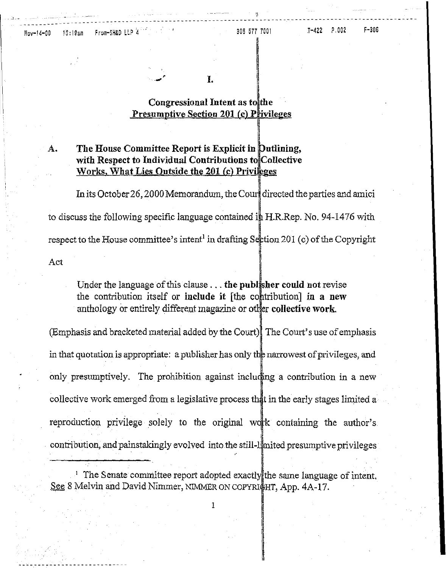L

### Congressional Intent as to the **Presumptive Section 201 (c) Privileges**

### The House Committee Report is Explicit in Dutlining, А. with Respect to Individual Contributions to Collective Works, What Lies Quiside the 201 (c) Privileges

In its October 26, 2000 Memorandum, the Court directed the parties and amici to discuss the following specific language contained in H.R.Rep. No. 94-1476 with respect to the House committee's intent<sup>1</sup> in drafting Section 201 (c) of the Copyright

Act

Under the language of this clause ... the publisher could not revise the contribution itself or include it [the contribution] in a new anthology or entirely different magazine or other collective work.

(Emphasis and bracketed material added by the Court). The Court's use of emphasis in that quotation is appropriate: a publisher has only the narrowest of privileges, and only presumptively. The prohibition against including a contribution in a new collective work emerged from a legislative process that in the early stages limited a reproduction privilege solely to the original work containing the author's contribution, and painstakingly evolved into the still-limited presumptive privileges

<sup>1</sup> The Senate committee report adopted exactly the same language of intent. See 8 Melvin and David Nimmer, NIMMER ON COPYRIGHT, App. 4A-17.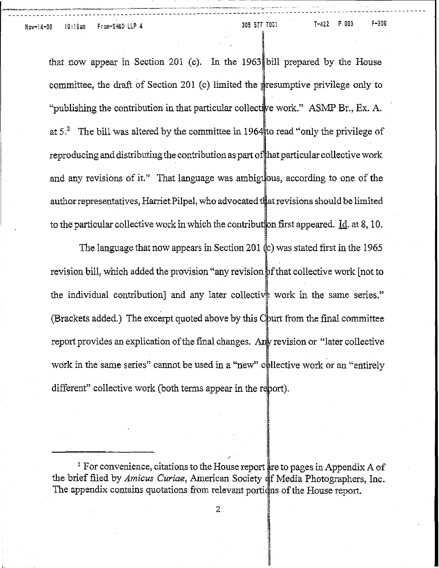L

that now appear in Section 201 (c). In the 1963 bill prepared by the House committee, the draft of Section 201 (c) limited the presumptive privilege only to "publishing the contribution in that particular collective work." ASMP Br., Ex. A. at  $5<sup>2</sup>$  The bill was altered by the committee in 1964 to read "only the privilege of reproducing and distributing the contribution as part of that particular collective work and any revisions of it." That language was ambiguous, according to one of the author representatives, Harriet Pilpel, who advocated that revisions should be limited to the particular collective work in which the contribut on first appeared. Id. at 8, 10.

The language that now appears in Section 201  $\&$ ) was stated first in the 1965 revision bill, which added the provision "any revision of that collective work [not to the individual contribution] and any later collective work in the same series." (Brackets added.) The excerpt quoted above by this  $\mathbb{C}$  burt from the final committee report provides an explication of the final changes. Any revision or "later collective work in the same series" cannot be used in a "new" collective work or an "entirely different" collective work (both terms appear in the report).

<sup>&</sup>lt;sup>2</sup> For convenience, citations to the House report are to pages in Appendix A of the brief filed by *Amicus Curiae*, American Society of Media Photographers, Inc. The appendix contains quotations from relevant portidns of the House report.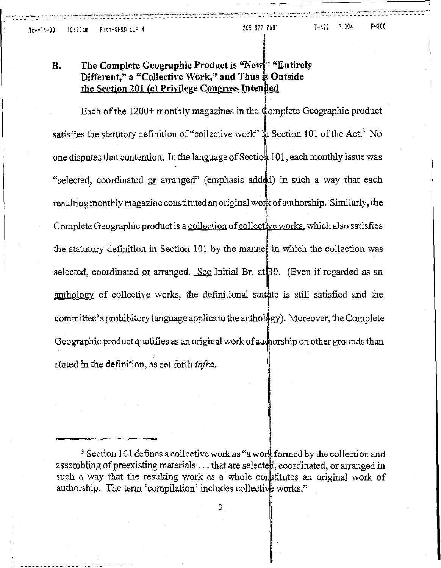### B. The Complete Geographic Product is "New" "Entirely Different," a "Collective Work," and Thus  $\frac{1}{2}$  Outside the Section 201 (c) Privilege Congress Intended

Each of the  $1200+$  monthly magazines in the Complete Geographic product satisfies the statutory definition of "collective work" in Section 101 of the Act.<sup>3</sup> No one disputes that contention. In the language of Section 101, each monthly issue was "selected, coordinated or arranged" (emphasis add d) in such a way that each resulting monthly magazine constituted an original work of authorship. Similarly, the Complete Geographic product is a collection of collective works, which also satisfies the statutory definition in Section 101 by the manner in which the collection was selected, coordinated or arranged. See Initial Br. at  $\beta 0$ . (Even if regarded as an anthology of collective works, the definitional statute is still satisfied and the committee'sprohibitory language applies to the anthol gy). Moreover, the Complete Geographic product qualifies as an original work of authorship on other grounds than stated in the definition, as set forth *infra.*

 $^3$  Section 101 defines a collective work as "a work formed by the collection and assembling of preexisting materials  $\dots$  that are selecte $\sharp !$ , coordinated, or arranged in such a way that the resulting work as a whole constitutes an original work of authorship. The term 'compilation' includes collective works."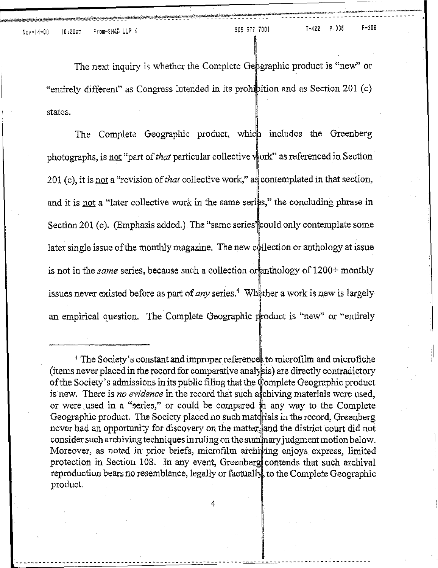The next inquiry is whether the Complete Geographic product is "new" or "entirely different" as Congress intended in its prohibition and as Section 201 $(c)$ states.

The Complete Geographic product, which includes the Greenberg photographs, is not "part of *that* particular collective work" as referenced in Section 201 (c), it is <u>not</u> a "revision of *that* collective work," as contemplated in that section, and it is not a "later collective work in the same series," the concluding phrase in Section 201 (c). (Emphasis added.) The "same series" could only contemplate some later single issue of the monthly magazine. The new collection or anthology at issue is not in the *same* series, because such a collection or anthology of 1200+ monthly issues never existed before as part of *any* series.<sup>4</sup> Wh<sub>ether</sub> a work is new is largely an empirical question. The Complete Geographic product is "new" or "entirely

4

----~----------------------------------------------------------~~~-------------------------

<sup>&</sup>lt;sup>4</sup> The Society's constant and improper references to microfilm and microfiche  $(i$  tems never placed in the record for comparative analysis) are directly contradictory of the Society's admissions in its public filing that the Complete Geographic product is new. There is *no evidence* in the record that such a fighting materials were used, or were used in a "series," or could be compared  $\hat{p}$  any way to the Complete Geographic product. The Society placed no such materials in the record, Greenberg never had an opportunity for discovery on the matter, and the district court did not consider such archiving techniques in ruling on the summary judgment motion below. Moreover, as noted in prior briefs, microfilm archiving enjoys express, limited protection in Section 108. In any event, Greenberg contends that such archival reproduction bears no resemblance, legally or factually to the Complete Geographic product.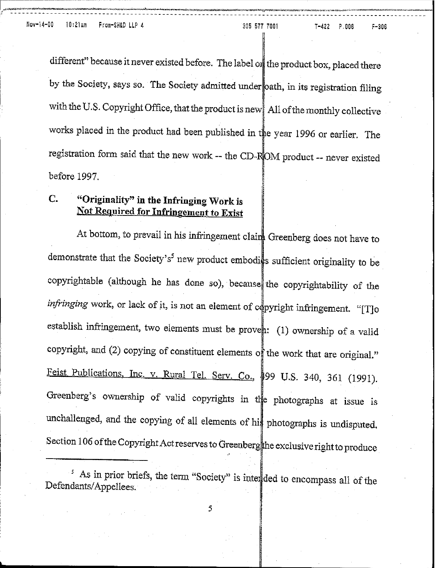different" because it never existed before. The label on the product box, placed there by the Society, says so. The Society admitted under oath, in its registration filing with the U.S. Copyright Office, that the product is new All of the monthly collective works placed in the product had been published in the year 1996 or earlier. The registration form said that the new work -- the CD-ROM product -- never existed before 1997.

# c. "Originality" in the Infringing Work is Not Required for Infringement to Exist

At bottom, to prevail in his infringement clairs Greenberg does not have to demonstrate that the Society's<sup>5</sup> new product embodies sufficient originality to be copyrightable (although he has done so), because the copyrightability of the *infringing* work, or lack of it, is not an element of copyright infringement. "[T]o establish infringement, two elements must be proven: (1) ownership of a valid copyright, and (2) copying of constituent elements of the work that are original." Feist Publications, Inc. v. Rural Tel. Serv. Co., \$99 U.S. 340, 361 (1991). Greenberg's ownership of valid copyrights in the photographs at issue is unchallenged, and the copying of all elements of his photographs is undisputed. Section 106 of the Copyright Act reserves to Greenberg the exclusive right to produce

<sup>5</sup> As in prior briefs, the term "Society" is inter ded to encompass all of the Defendants/Appellees.

"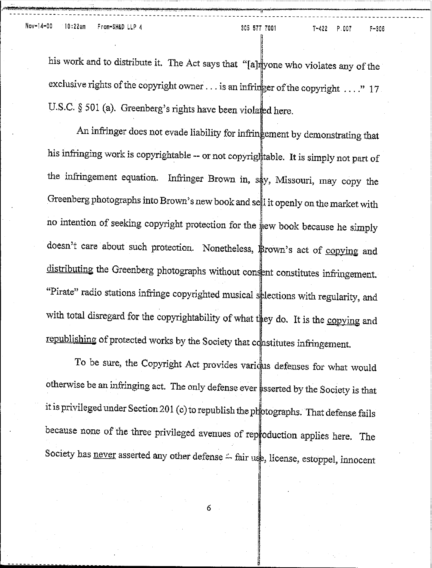--**- --** -- - - - ---- - ----- ----- **- -- - -- - - -** -- - - --**-- - - -- - - -- ----------**

*Principal Prince Age 16* !

his work and to distribute it. The Act says that "[a] yone who violates any of the !<br>! exclusive rights of the copyright owner . . . is an infringer of the copyright . . . ." 17 U.S.C. § 501 (a). Greenberg's rights have been violated here.

An infringer does not evade liability for infringement by demonstrating that his infringing work is copyrightable -- or not copyrightable. It is simply not part of the infringement equation. Infringer Brown in, say, Missouri, may copy the Greenberg photographs into Brown's new book and sell it openly on the market with no intention of seeking copyright protection for the sew book because he simply doesn't care about such protection. Nonetheless, Brown's act of copying and distributing the Greenberg photographs without consent constitutes infringement. "Pirate" radio stations infringe copyrighted musical splections with regularity, and with total disregard for the copyrightability of what they do. It is the copying and republishing of protected works by the Society that constitutes infringement.

To be sure, the Copyright Act provides varidus defenses for what would otherwise be an infringing act. The only defense ever ssserted by the Society is that it is privileged under Section 201 (c) to republish the photographs. That defense fails because none of the three privileged avenues of reproduction applies here. The Society has never asserted any other defense :-- fair use, license, estoppel, innocent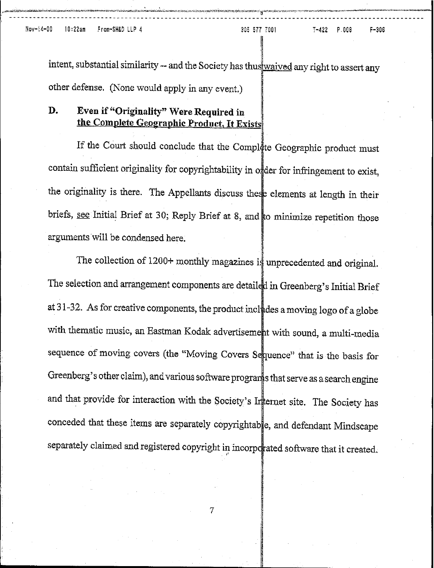intent, substantial similarity -- and the Society has thus waived any right to assert any other defense. (None would apply in any event.)

- - - --------- - -- - - - - --- --- -- --- - -------- -- - - - - - - - - - - ------------ -- --------- --------------- ------- -------

### D. Even if "Originality" Were Required in the Complete Geographic Product, It Exists

,

If the Court should conclude that the Complete Geographic product must contain sufficient originality for copyrightability in order for infringement to exist, the originality is there. The Appellants discuss these elements at length in their briefs, see Initial Brief at 30; Reply Brief at 8, and to minimize repetition those arguments will be condensed here.

The collection of  $1200+$  monthly magazines is unprecedented and original. The selection and arrangement components are detailed in Greenberg's Initial Brief at 31-32. As for creative components, the product includes a moving logo of a globe with thematic music, an Eastman Kodak advertisement with sound, a multi-media sequence of moving covers (the "Moving Covers Sequence" that is the basis for Greenberg's other claim), and various software programs that serve as a search engine and that provide for interaction with the Society's Internet site. The Society has conceded that these items are separately copyrightable, and defendant Mindscape separately claimed and registered copyright in incorporated software that it created.

.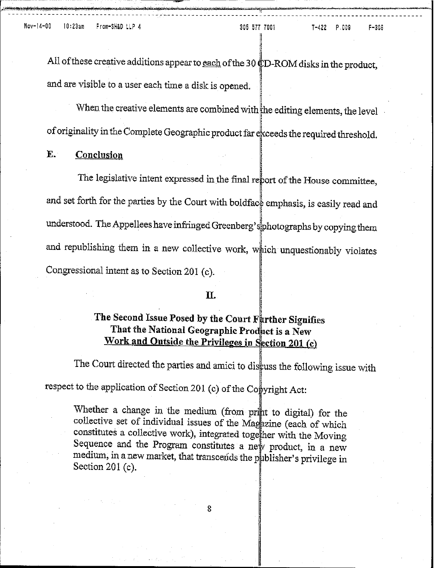$-306$ 

All of these creative additions appear to each of the 30 CD-ROM disks in the product, and are visible to a user each time a disk is opened.

When the creative elements are combined with the editing elements, the level of originality in the Complete Geographic product far exceeds the required threshold.

#### E. **Conclusion**

The legislative intent expressed in the final report of the House committee, and set forth for the parties by the Court with boldface emphasis, is easily read and understood. The Appellees have infringed Greenberg's photographs by copying them and republishing them in a new collective work, which unquestionably violates Congressional intent as to Section 201 (c).

### Π.

# The Second Issue Posed by the Court Further Signifies That the National Geographic Product is a New Work and Outside the Privileges in Section 201 (c)

The Court directed the parties and amici to discuss the following issue with

respect to the application of Section 201 (c) of the Copyright Act:

Whether a change in the medium (from print to digital) for the collective set of individual issues of the Magazine (each of which constitutes a collective work), integrated together with the Moving Sequence and the Program constitutes a new product, in a new medium, in a new market, that transcends the publisher's privilege in Section  $201(c)$ .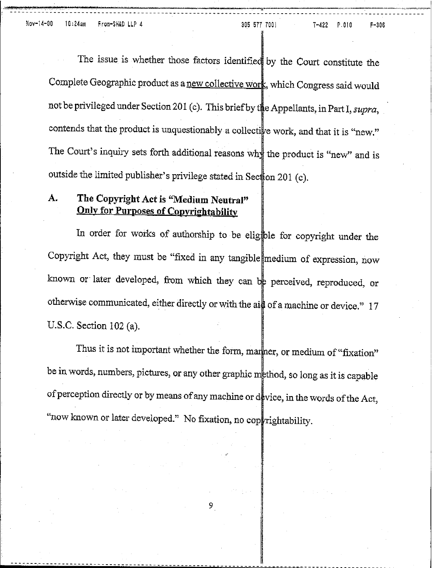The issue is whether those factors identified by the Court constitute the Complete Geographic product as a new collective work, which Congress said would not be privileged under Section 201 (c). This brief by the Appellants, in Part I, *supra*, contends that the product is unquestionably a collective work, and that it is "new." The Court's inquiry sets forth additional reasons why the product is "new" and is outside the limited publisher's privilege stated in Sec $\frac{1}{2}$ on 201 (c).

"~~::.l.~"'::'::.'..:.'?.:.?. **d\_** :t~. \_

# A. The Copyright Act is "Medium Neutral" Only for Purposes of Copyrightability

In order for works of authorship to be eligible for copyright under the Copyright Act, they must be "fixed in any tangible medium of expression, now known or later developed, from which they can be perceived, reproduced, or otherwise communicated, either directly or with the aid of a machine or device."  $17$ U.S.C. Section 102 (a).

Thus it is not important whether the form, marker, or medium of "fixation" be in words, numbers, pictures, or any other graphic thod, so long as it is capable of perception directly or by means of any machine or device, in the words of the Act, "now known or later developed." No fixation, no cop rightability.

~---.\_------~.\_--------------------------------------- - - - - - - - - - - - - - - - - - - - - - - - - - -------------------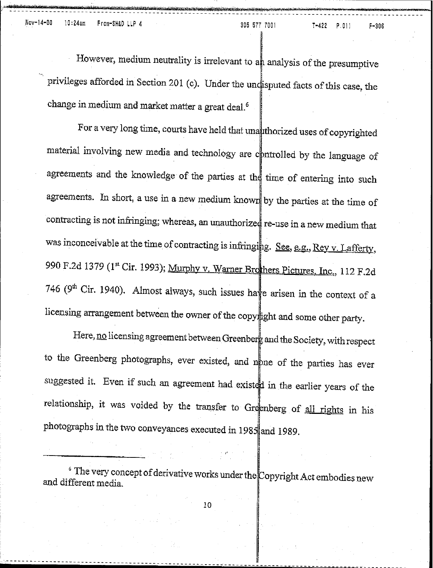Nov-14-00 10:24am From-SH&D LLP 4 305 577 7001 T-422 P.011 F-306

However, medium neutrality is irrelevant to an analysis of the presumptive privileges afforded in Section 201 (c). Under the undisputed facts of this case, the change in medium and market matter a great deal.<sup>6</sup>

For a very long time, courts have held that unauthorized uses of copyrighted material involving new media and technology are controlled by the language of agreements and the knowledge of the parties at the time of entering into such agreements. In short, a use in a new medium known by the parties at the time of contracting is not infringing; whereas, an unauthorized re-use in a new medium that was inconceivable at the time of contracting is infringing. See, e.g., Rey v. Lafferty, 990 F.2d 1379 (1st Cir. 1993); Murphy v. Warner Brothers Pictures, Inc., 112 F.2d 746 (9<sup>th</sup> Cir, 1940). Almost always, such issues have arisen in the context of a licensing arrangement between the owner of the copy ight and some other party.

Here, no licensing agreement between Greenberg and the Society, with respect to the Greenberg photographs, ever existed, and none of the parties has ever suggested it. Even if such an agreement had existed in the earlier years of the relationship, it was voided by the transfer to Greenberg of all rights in his photographs in the two conveyances executed in 1985 and 1989.

 $\degree$  The very concept of derivative works under the Copyright Act embodies new and different media.

"

10

<sup>I</sup> **----------------------------------------------------------------------------------------**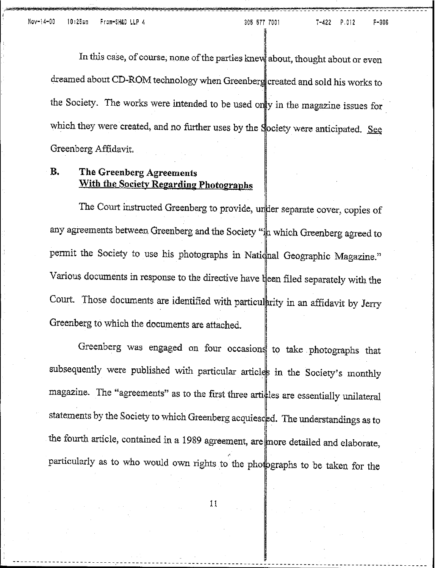and a series of the contract of the contract of the contract of the contract of the contract of the contract of the contract of the contract of the contract of the contract of the contract of the contract of the contract o

In this case, of course, none of the parties knew about, thought about or even dreamed about CD-ROM technology when Greenberg created and sold his works to the Society. The works were intended to be used only in the magazine issues for which they were created, and no further uses by the Society were anticipated. See Greenberg Affidavit.

## B. The Greenberg Agreements With the Society Regarding Photographs

The Court instructed Greenberg to provide, under separate cover, copies of any agreements between Greenberg and the Society " $\frac{1}{2}$  which Greenberg agreed to permit the Society to use his photographs in Natidnal Geographic Magazine." Various documents in response to the directive have theen filed separately with the Court. Those documents are identified with particularity in an affidavit by Jerry Greenberg to which the documents are attached.

Greenberg was engaged on four occasions to take photographs that subsequently were published with particular articles in the Society's monthly magazine. The "agreements" as to the first three articles are essentially unilateral statements by the Society to which Greenberg acquiesced. The understandings as to the fourth article, contained in a 1989 agreement, are more detailed and elaborate, particularly as to who would own rights to the photographs to be taken for the

11

----------------------------------------------------- **- - - - - - - - - - - - - - - - - - - - - - - - - - - - - - - - - - - - - - - - - - - - - - - - - - -**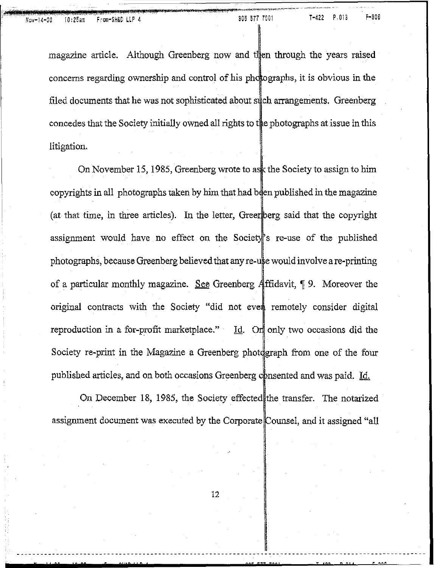magazine article. Although Greenberg now and then through the years raised concerns regarding ownership and control of his photographs, it is obvious in the filed documents that he was not sophisticated about such arrangements. Greenberg concedes that the Society initially owned all rights to the photographs at issue in this litigation:

On November 15, 1985, Greenberg wrote to ask the Society to assign to him copyrights in all photographs taken by him that had been published in the magazine (at that time, in three articles). In the letter, Greenberg said that the copyright assignment would have no effect on the Society's re-use of the published photographs, because Greenberg believed that any re-use would involve a re-printing of a particular monthly magazine. See Greenberg Affidavit,  $\P$  9. Moreover the original contracts with the Society "did not even remotely consider digital reproduction in a for-profit marketplace." Id. On only two occasions did the Society re-print in the Magazine a Greenberg photograph from one of the four published articles, and on both occasions Greenberg consented and was paid. Id.

On December 18, 1985, the Society effected the transfer. The notarized assignment document was executed by the Corporate Counsel, and it assigned "all

" :'P **12P** 52"22"2' **90S 5;; UO' <sup>T</sup> 'o? <sup>n</sup> <sup>M</sup> <sup>1</sup> <sup>r</sup> ... 0'"**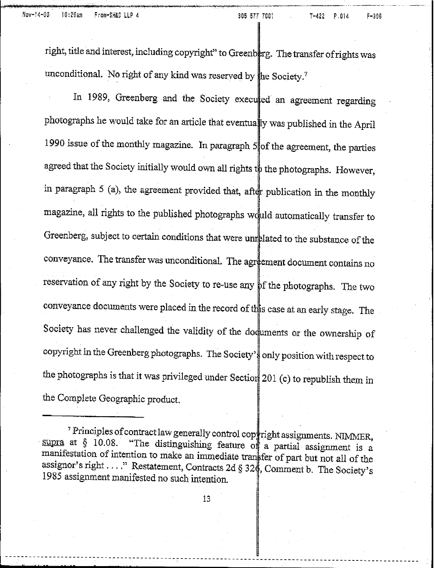right, title and interest, including copyright" to Greenberg. The transfer of rights was unconditional. No right of any kind was reserved by he Society."

In 1989, Greenberg and the Society executed an agreement regarding photographs he would take for an article that eventually was published in the April 1990 issue of the monthly magazine. In paragraph 5 of the agreement, the parties agreed that the Society initially would own all rights to the photographs. However, in paragraph  $5$  (a), the agreement provided that, after publication in the monthly magazine, all rights to the published photographs would automatically transfer to Greenberg, subject to certain conditions that were unrelated to the substance of the conveyance. The transfer was unconditional. The agreement document contains no reservation of any right by the Society to re-use any of the photographs. The two Society has never challenged the validity of the documents or the ownership of conveyance documents were placed in the record of this case at an early stage. The copyright in the Greenberg photographs. The Society's only position with respect to the photographs is that it was privileged under Section 201 (c) to republish them in the Complete Geographic product.

-----------------------------~-c--c-c----------- **\_**

<sup>&</sup>lt;sup>7</sup> Principles of contract law generally control cop right assignments. NIMMER, supra at  $\S$  10.08. "The distinguishing feature of a pertial contract is "The distinguishing feature of a partial assignment is a manifestation of intention to make an immediate transfer of part but not all of the assignor's right ...." Restatement, Contracts 2d  $\S 32\frac{d}{d}$ , Comment b. The Society's 1985 assignment manifested no such intention.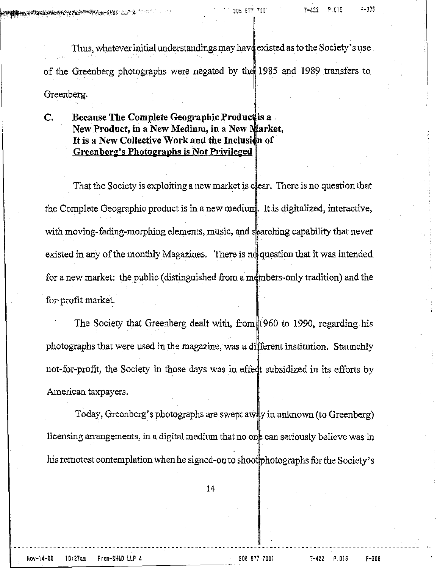Thus, whatever initial understandings may have existed as to the Society's use of the Greenberg photographs were negated by the 1985 and 1989 transfers to Greenberg.

C. Because The Complete Geographic Produc is a New Product, in a New Medium, in a New Market, It is a New Collective Work and the Inclusion of Greenberg's Photographs is Not Privileged

That the Society is exploiting a new market is clear. There is no question that the Complete Geographic product is in a new medium. It is digitalized, interactive, with moving-fading-morphing elements, music, and sparching capability that never existed in any of the monthly Magazines. There is no question that it was intended for a new market: the public (distinguished from ambers-only tradition) and the for-profit market.

The Society that Greenberg dealt with, from 1960 to 1990, regarding his photographs that were used in the magazine, was a different institution. Staunchly not-for-profit, the Society in those days was in effect subsidized in its efforts by American taxpayers.

Today, Greenberg's photographs are swept away in unknown (to Greenberg) licensing arrangements, in a digital medium that no one can seriously believe was in his remotest contemplation when he signed-on to shoot photographs for the Society's